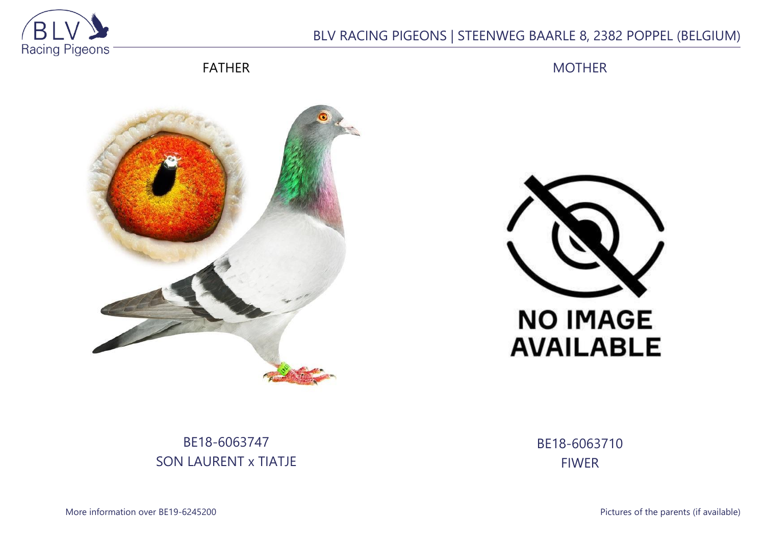

## BLV RACING PIGEONS | STEENWEG BAARLE 8, 2382 POPPEL (BELGIUM)

FATHER

MOTHER





# BE18-6063747 SON LAURENT x TIATJE

BE18-6063710 FIWER

More information over BE19-6245200 **Pictures of the parents (if available)**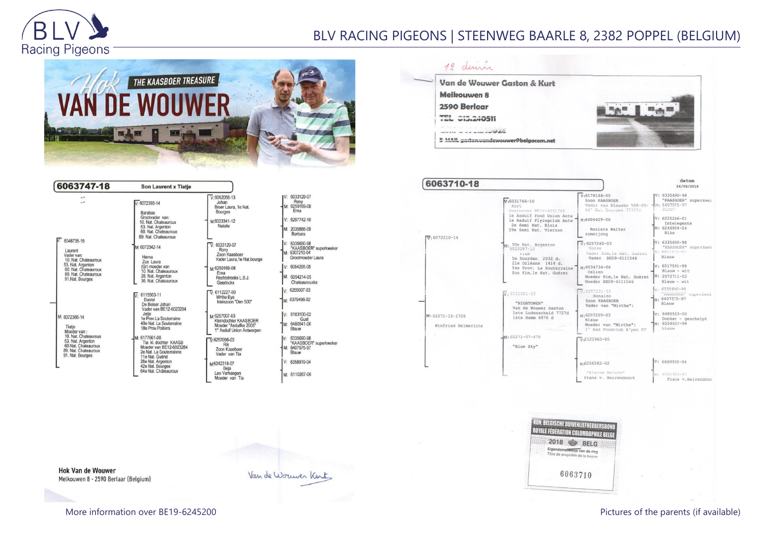

## BLV RACING PIGEONS | STEENWEG BAARLE 8, 2382 POPPEL (BELGIUM)





| Rony<br>1: 6259169-08<br>Ema                                              |
|---------------------------------------------------------------------------|
| $: 6297742 - 10$                                                          |
| 1: 2035886-09<br>Barbara                                                  |
| 6335690-98<br>"KAASBOER" superkweker<br>: 6307210-04<br>Grootmoeder Laura |
| $: 6054295-05$                                                            |
| : 6054214-05<br>Chateaurouxke                                             |
| 6255007-03                                                                |
| 6379496-02                                                                |
| 6183100-02<br>Gust<br>: 6480541-00<br>Blauw                               |
| 6335690-98<br>*KAASBOER* superkweker<br>: 6407575-97<br>Blauw             |
| 6358919-04                                                                |
| : 6110267-06                                                              |

12 deur Van de Wouwer Gaston & Kurt **Melkouwen 8** 2590 Berlaar **Ryse**  $\mathbf{m}_{\text{min}}$ TEL 015.240511 words with women of MAG E MAIL gaston.vandewouwer@belgacom.net

| 6063710-18                              |                                                                                  |                                                                                        | datum<br>24/09/2018                                                          |
|-----------------------------------------|----------------------------------------------------------------------------------|----------------------------------------------------------------------------------------|------------------------------------------------------------------------------|
|                                         | $v:6031766 - 10$<br>Kurt.<br>Mestbroer BE10-6031765<br>le Asduif Fond Union Antw | $v:6176146-05$<br>Zoon KAASBOER<br>Vader van Blauwke 508-09:<br>64° Nai Bourges 373576 | V: 6335690-98<br>"KAASBOER" superkwei<br>$-1M: 6407575 - 97$<br><b>Biam</b>  |
| $\overline{v}$ 6072210-14               | le Asduif Flyingclub Antw<br>2e Semi Nat. Blois<br>29e Semi Nat. Vierzon         | M:6404429-06<br>Roziers Walter<br>zomerjong                                            | $V: 6225246 - 01$<br>Intelegente<br>M: 6246934-04<br>Nike                    |
|                                         | M: 30e Nat. Argenton<br>Filmy<br>5e Dourdan 2032 d.<br>21e Orléans 1414 d.       | $V: 6257240 - 03$<br>Torre<br>Vader Kim, le Nat. Guéret<br>Vader BE09-6111546          | $V: 6335690 - 98$<br>"KAASBOER" superkwek<br>M: 6407575-97<br>Blauw          |
|                                         | 54e Prov. La Souterraine<br>Zus Kim, le Nat. Guéret                              | $M:6034734-06$<br>Celien<br>Moeder Kim, le Nat. Guéret<br>Moeder BE09-6111546          | V: 6517591-99<br>$Blauw - wit$<br>$M: 2072711 - 02$<br>$Blauw - wit$         |
|                                         | $\overline{W}$ : 6111601-09<br>"HIGHTOWER"<br>Van de Wouwer Gaston               | $\frac{1}{3}$ . 6257231-03<br>Ronaldo<br>Zoon KAASBOER<br>Vader van "Mirthe":          | $\frac{1}{2}$ , 6335690-98<br>"KAASBOER" superkwek<br>M: 6407575-97<br>Blauw |
| M: 02271-15-1726<br>Winfried Helmerichs | 1ste Ludenscheid 7727d<br>1ste Hamm 6970 d<br>Caroline Co                        | M:6257209-03<br>Blauw<br>Moeder van "Mirthe":<br>1° Asd Fondclub A'pen 07              | $V: 6480563 - 00$<br>Donker - geschelpt<br>M: 6559567-99<br>blanw            |
|                                         | $M: 02271 - 07 - 475$<br>"Blue Sky"                                              | $V - 2121963 - 05$                                                                     |                                                                              |
|                                         |                                                                                  | м-6256582-02<br>"Kloine Muiske"<br>Frans v. Beirendonck                                | $V: 6669930 - 94$<br>M 6391983-97<br>Frans v. Beirendonc                     |

| 2018 |         | <b>BELG</b>                                                   |
|------|---------|---------------------------------------------------------------|
|      |         | Eigendomsbewijs van de ring<br>Titre de propriété de la bague |
|      | 6063710 |                                                               |

**Hok Van de Wouwer** Melkouwen 8 - 2590 Berlaar (Belgium)